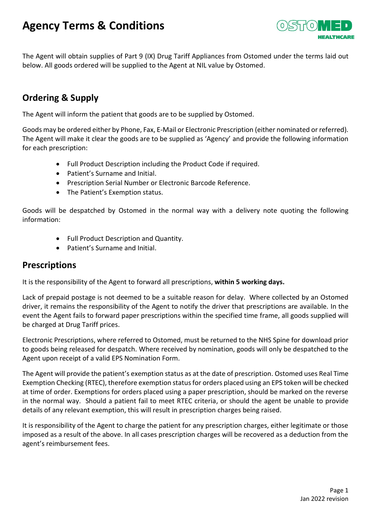# **Agency Terms & Conditions**



The Agent will obtain supplies of Part 9 (IX) Drug Tariff Appliances from Ostomed under the terms laid out below. All goods ordered will be supplied to the Agent at NIL value by Ostomed.

# **Ordering & Supply**

The Agent will inform the patient that goods are to be supplied by Ostomed.

Goods may be ordered either by Phone, Fax, E-Mail or Electronic Prescription (either nominated or referred). The Agent will make it clear the goods are to be supplied as 'Agency' and provide the following information for each prescription:

- Full Product Description including the Product Code if required.
- Patient's Surname and Initial.
- Prescription Serial Number or Electronic Barcode Reference.
- The Patient's Exemption status.

Goods will be despatched by Ostomed in the normal way with a delivery note quoting the following information:

- Full Product Description and Quantity.
- Patient's Surname and Initial.

#### **Prescriptions**

It is the responsibility of the Agent to forward all prescriptions, **within 5 working days.** 

Lack of prepaid postage is not deemed to be a suitable reason for delay. Where collected by an Ostomed driver, it remains the responsibility of the Agent to notify the driver that prescriptions are available. In the event the Agent fails to forward paper prescriptions within the specified time frame, all goods supplied will be charged at Drug Tariff prices.

Electronic Prescriptions, where referred to Ostomed, must be returned to the NHS Spine for download prior to goods being released for despatch. Where received by nomination, goods will only be despatched to the Agent upon receipt of a valid EPS Nomination Form.

The Agent will provide the patient's exemption status as at the date of prescription. Ostomed uses Real Time Exemption Checking (RTEC), therefore exemption status for orders placed using an EPS token will be checked at time of order. Exemptions for orders placed using a paper prescription, should be marked on the reverse in the normal way. Should a patient fail to meet RTEC criteria, or should the agent be unable to provide details of any relevant exemption, this will result in prescription charges being raised.

It is responsibility of the Agent to charge the patient for any prescription charges, either legitimate or those imposed as a result of the above. In all cases prescription charges will be recovered as a deduction from the agent's reimbursement fees.